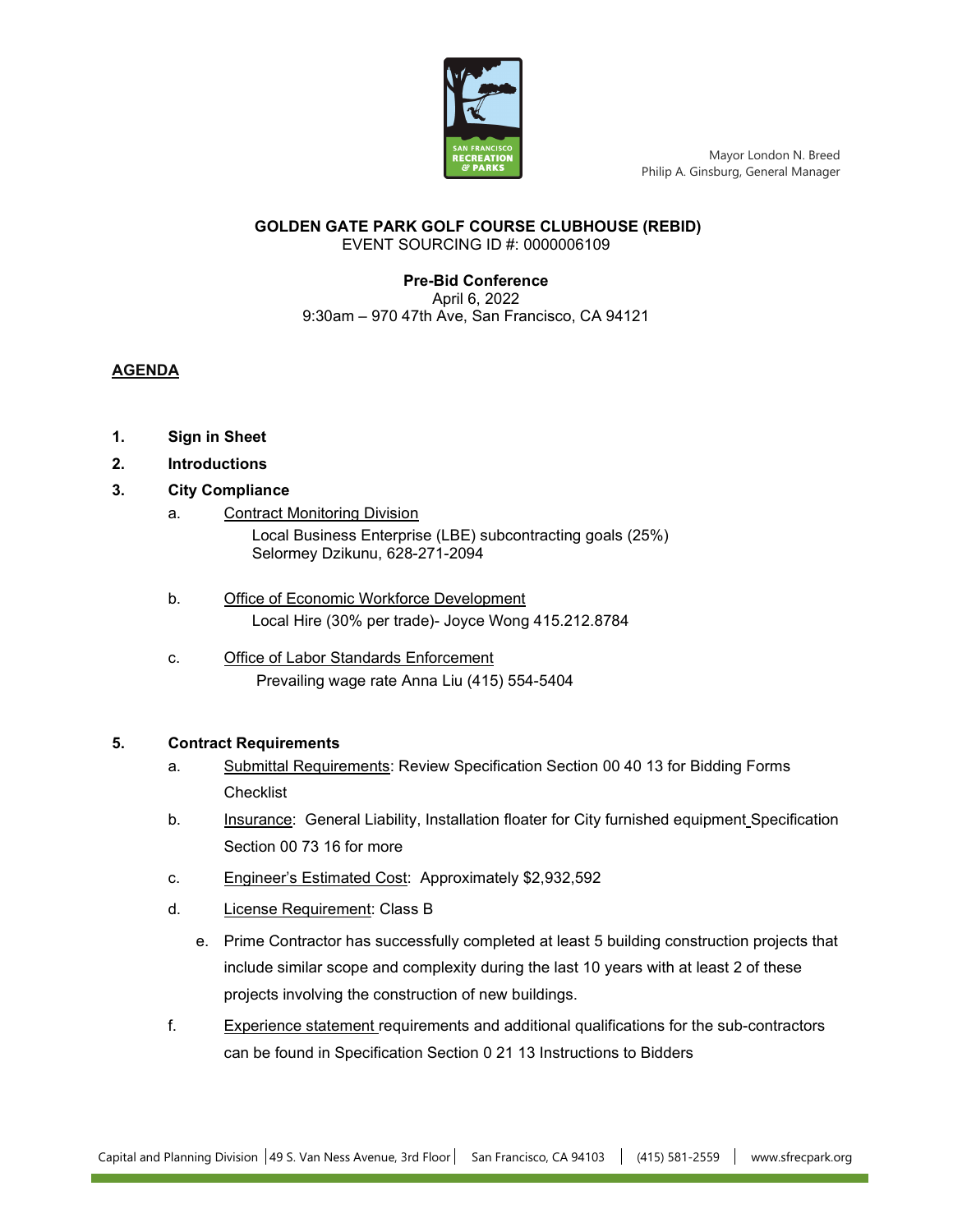

Mayor London N. Breed Philip A. Ginsburg, General Manager

#### **GOLDEN GATE PARK GOLF COURSE CLUBHOUSE (REBID)** EVENT SOURCING ID #: 0000006109

## **Pre-Bid Conference** April 6, 2022 9:30am – 970 47th Ave, San Francisco, CA 94121

# **AGENDA**

- **1. Sign in Sheet**
- **2. Introductions**
- **3. City Compliance** 
	- a. Contract Monitoring Division Local Business Enterprise (LBE) subcontracting goals (25%) Selormey Dzikunu, 628-271-2094
	- b. Office of Economic Workforce Development Local Hire (30% per trade)- Joyce Wong 415.212.8784
	- c. Office of Labor Standards Enforcement Prevailing wage rate Anna Liu (415) 554-5404

## **5. Contract Requirements**

- a. Submittal Requirements: Review Specification Section 00 40 13 for Bidding Forms **Checklist**
- b. Insurance: General Liability, Installation floater for City furnished equipment Specification Section 00 73 16 for more
- c. Engineer's Estimated Cost: Approximately \$2,932,592
- d. License Requirement: Class B
	- e. Prime Contractor has successfully completed at least 5 building construction projects that include similar scope and complexity during the last 10 years with at least 2 of these projects involving the construction of new buildings.
- f. Experience statement requirements and additional qualifications for the sub-contractors can be found in Specification Section 0 21 13 Instructions to Bidders